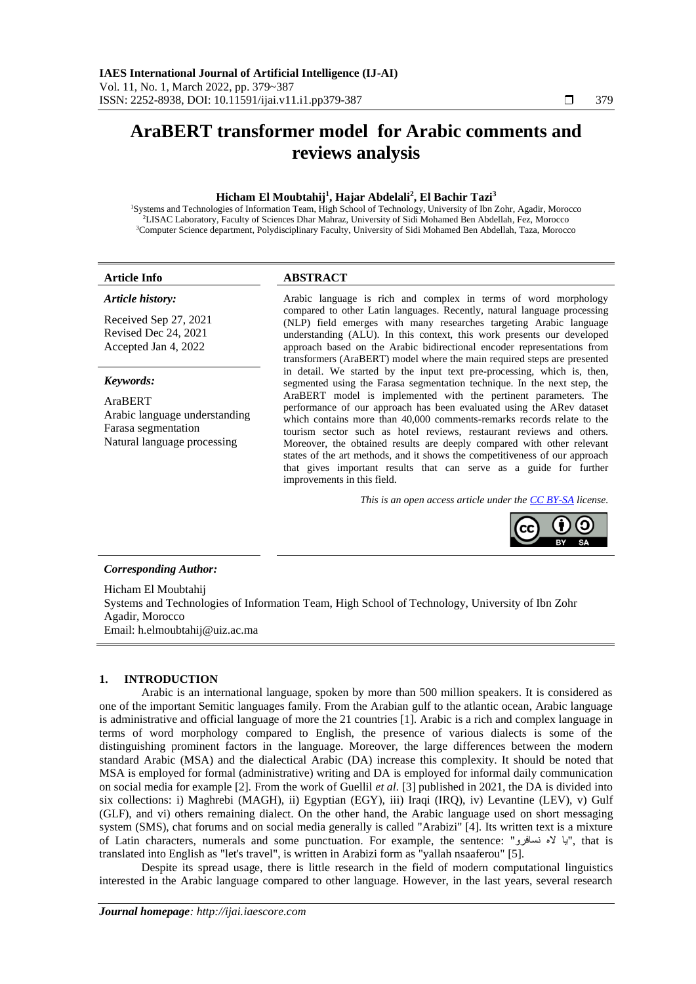# **AraBERT transformer model for Arabic comments and reviews analysis**

## **Hicham El Moubtahij<sup>1</sup> , Hajar Abdelali<sup>2</sup> , El Bachir Tazi<sup>3</sup>**

<sup>1</sup>Systems and Technologies of Information Team, High School of Technology, University of Ibn Zohr, Agadir, Morocco <sup>2</sup>LISAC Laboratory, Faculty of Sciences Dhar Mahraz, University of Sidi Mohamed Ben Abdellah, Fez, Morocco <sup>3</sup>Computer Science department, Polydisciplinary Faculty, University of Sidi Mohamed Ben Abdellah, Taza, Morocco

#### **Article Info ABSTRACT**

### *Article history:*

Received Sep 27, 2021 Revised Dec 24, 2021 Accepted Jan 4, 2022

# *Keywords:*

AraBERT Arabic language understanding Farasa segmentation Natural language processing

Arabic language is rich and complex in terms of word morphology compared to other Latin languages. Recently, natural language processing (NLP) field emerges with many researches targeting Arabic language understanding (ALU). In this context, this work presents our developed approach based on the Arabic bidirectional encoder representations from transformers (AraBERT) model where the main required steps are presented in detail. We started by the input text pre-processing, which is, then, segmented using the Farasa segmentation technique. In the next step, the AraBERT model is implemented with the pertinent parameters. The performance of our approach has been evaluated using the ARev dataset which contains more than 40,000 comments-remarks records relate to the tourism sector such as hotel reviews, restaurant reviews and others. Moreover, the obtained results are deeply compared with other relevant states of the art methods, and it shows the competitiveness of our approach that gives important results that can serve as a guide for further improvements in this field.

*This is an open access article under th[e CC BY-SA](https://creativecommons.org/licenses/by-sa/4.0/) license.*



#### *Corresponding Author:*

Hicham El Moubtahij Systems and Technologies of Information Team, High School of Technology, University of Ibn Zohr Agadir, Morocco Email: h.elmoubtahij@uiz.ac.ma

#### **1. INTRODUCTION**

Arabic is an international language, spoken by more than 500 million speakers. It is considered as one of the important Semitic languages family. From the Arabian gulf to the atlantic ocean, Arabic language is administrative and official language of more the 21 countries [1]. Arabic is a rich and complex language in terms of word morphology compared to English, the presence of various dialects is some of the distinguishing prominent factors in the language. Moreover, the large differences between the modern standard Arabic (MSA) and the dialectical Arabic (DA) increase this complexity. It should be noted that MSA is employed for formal (administrative) writing and DA is employed for informal daily communication on social media for example [2]. From the work of Guellil *et al.* [3] published in 2021, the DA is divided into six collections: i) Maghrebi (MAGH), ii) Egyptian (EGY), iii) Iraqi (IRO), iy) Levantine (LEV), y) Gulf (GLF), and vi) others remaining dialect. On the other hand, the Arabic language used on short [messaging](https://www.sciencedirect.com/topics/computer-science/messaging-system)  [system](https://www.sciencedirect.com/topics/computer-science/messaging-system) (SMS), chat forums and on social media generally is called "Arabizi" [4]. Its written text is a mixture of Latin characters, numerals and some punctuation. For example, the sentence: "نسافرو اله يا", that is translated into English as "let's travel", is written in Arabizi form as "yallah nsaaferou" [5].

Despite its spread usage, there is little research in the field of modern computational linguistics interested in the Arabic language compared to other language. However, in the last years, several research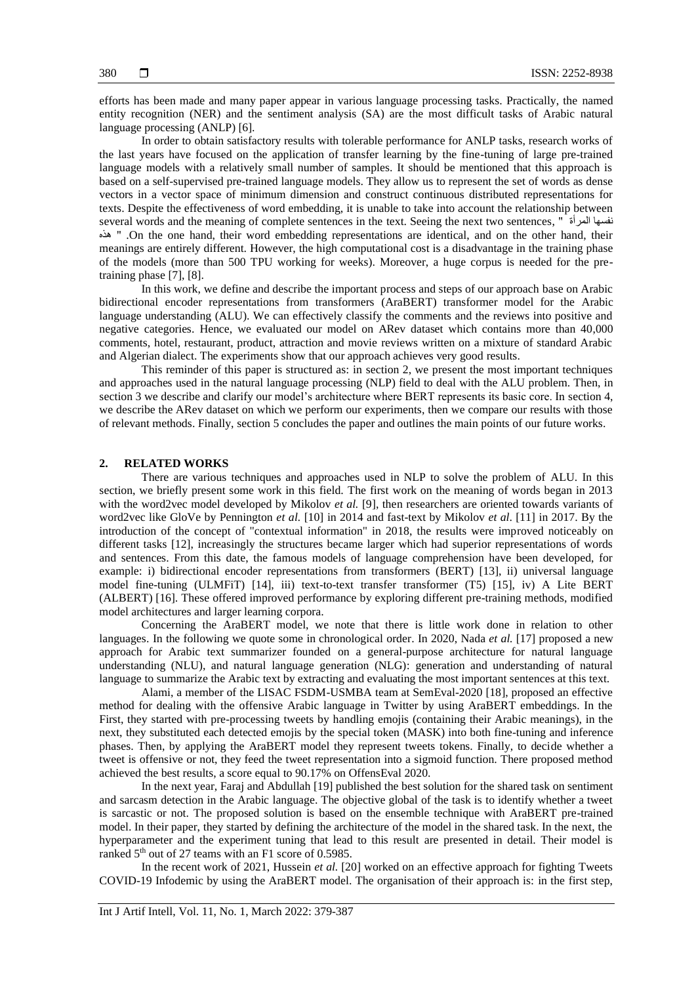efforts has been made and many paper appear in various language processing tasks. Practically, the named entity recognition (NER) and the sentiment analysis (SA) are the most difficult tasks of Arabic natural language processing (ANLP) [6].

In order to obtain satisfactory results with tolerable performance for ANLP tasks, research works of the last years have focused on the application of transfer learning by the fine-tuning of large pre-trained language models with a relatively small number of samples. It should be mentioned that this approach is based on a self-supervised pre-trained language models. They allow us to represent the set of words as dense vectors in a vector space of minimum dimension and construct continuous distributed representations for texts. Despite the effectiveness of word embedding, it is unable to take into account the relationship between several words and the meaning of complete sentences in the text. Seeing the next two sentences, " المرأة نفسها هذه " .On the one hand, their word embedding representations are identical, and on the other hand, their meanings are entirely different. However, the high computational cost is a disadvantage in the training phase of the models (more than 500 TPU working for weeks). Moreover, a huge corpus is needed for the pretraining phase [7], [8].

In this work, we define and describe the important process and steps of our approach base on Arabic bidirectional encoder representations from transformers (AraBERT) transformer model for the Arabic language understanding (ALU). We can effectively classify the comments and the reviews into positive and negative categories. Hence, we evaluated our model on ARev dataset which contains more than 40,000 comments, hotel, restaurant, product, attraction and movie reviews written on a mixture of standard Arabic and Algerian dialect. The experiments show that our approach achieves very good results.

This reminder of this paper is structured as: in section 2, we present the most important techniques and approaches used in the natural language processing (NLP) field to deal with the ALU problem. Then, in section 3 we describe and clarify our model's architecture where BERT represents its basic core. In section 4, we describe the ARev dataset on which we perform our experiments, then we compare our results with those of relevant methods. Finally, section 5 concludes the paper and outlines the main points of our future works.

#### **2. RELATED WORKS**

There are various techniques and approaches used in NLP to solve the problem of ALU. In this section, we briefly present some work in this field. The first work on the meaning of words began in 2013 with the word2vec model developed by Mikolov *et al.* [9], then researchers are oriented towards variants of word2vec like GloVe by Pennington *et al.* [10] in 2014 and fast-text by Mikolov *et al*. [11] in 2017. By the introduction of the concept of "contextual information" in 2018, the results were improved noticeably on different tasks [12], increasingly the structures became larger which had superior representations of words and sentences. From this date, the famous models of language comprehension have been developed, for example: i) bidirectional encoder representations from transformers (BERT) [13], ii) universal language model fine-tuning (ULMFiT) [14], iii) text-to-text transfer transformer (T5) [15], iv) A Lite BERT (ALBERT) [16]. These offered improved performance by exploring different pre-training methods, modified model architectures and larger learning corpora.

Concerning the AraBERT model, we note that there is little work done in relation to other languages. In the following we quote some in chronological order. In 2020, Nada *et al.* [17] proposed a new approach for Arabic text summarizer founded on a general-purpose architecture for natural language understanding (NLU), and natural language generation (NLG): generation and understanding of natural language to summarize the Arabic text by extracting and evaluating the most important sentences at this text.

Alami, a member of the LISAC FSDM-USMBA team at SemEval-2020 [18], proposed an effective method for dealing with the offensive Arabic language in Twitter by using AraBERT embeddings. In the First, they started with pre-processing tweets by handling emojis (containing their Arabic meanings), in the next, they substituted each detected emojis by the special token (MASK) into both fine-tuning and inference phases. Then, by applying the AraBERT model they represent tweets tokens. Finally, to decide whether a tweet is offensive or not, they feed the tweet representation into a sigmoid function. There proposed method achieved the best results, a score equal to 90.17% on OffensEval 2020.

In the next year, Faraj and Abdullah [19] published the best solution for the shared task on sentiment and sarcasm detection in the Arabic language. The objective global of the task is to identify whether a tweet is sarcastic or not. The proposed solution is based on the ensemble technique with AraBERT pre-trained model. In their paper, they started by defining the architecture of the model in the shared task. In the next, the hyperparameter and the experiment tuning that lead to this result are presented in detail. Their model is ranked 5<sup>th</sup> out of 27 teams with an F1 score of 0.5985.

In the recent work of 2021, Hussein *et al.* [20] worked on an effective approach for fighting Tweets COVID-19 Infodemic by using the AraBERT model. The organisation of their approach is: in the first step,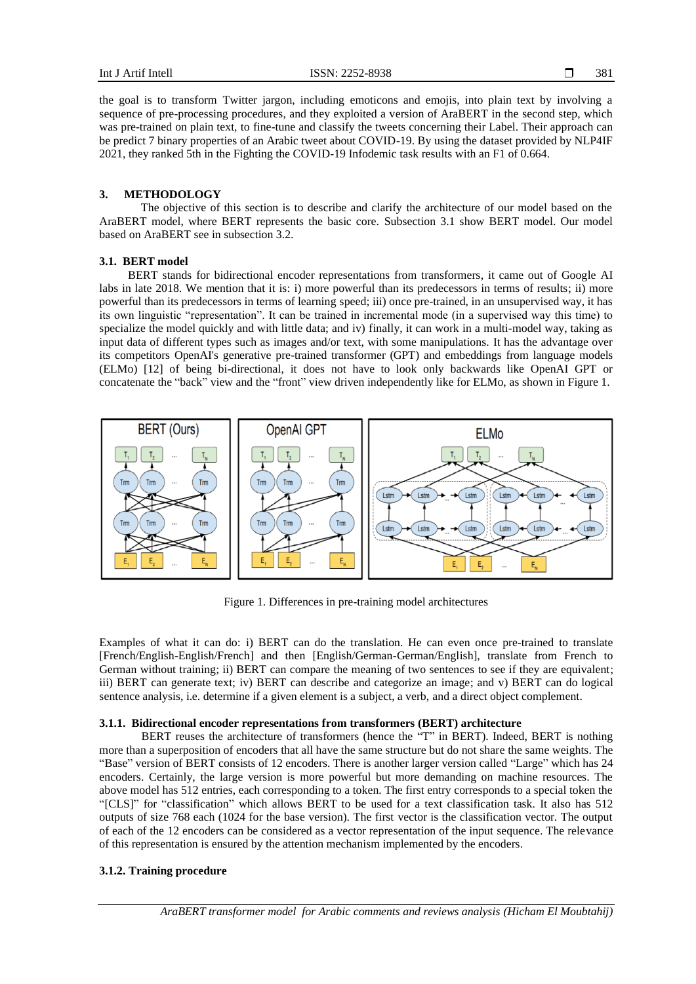the goal is to transform Twitter jargon, including emoticons and emojis, into plain text by involving a sequence of pre-processing procedures, and they exploited a version of AraBERT in the second step, which was pre-trained on plain text, to fine-tune and classify the tweets concerning their Label. Their approach can be predict 7 binary properties of an Arabic tweet about COVID-19. By using the dataset provided by NLP4IF 2021, they ranked 5th in the Fighting the COVID-19 Infodemic task results with an F1 of 0.664.

### **3. METHODOLOGY**

The objective of this section is to describe and clarify the architecture of our model based on the AraBERT model, where BERT represents the basic core. Subsection 3.1 show BERT model. Our model based on AraBERT see in subsection 3.2.

#### **3.1. BERT model**

BERT stands for bidirectional encoder representations from transformers, it came out of Google AI labs in late 2018. We mention that it is: i) more powerful than its predecessors in terms of results; ii) more powerful than its predecessors in terms of learning speed; iii) once pre-trained, in an unsupervised way, it has its own linguistic "representation". It can be trained in incremental mode (in a supervised way this time) to specialize the model quickly and with little data; and iv) finally, it can work in a multi-model way, taking as input data of different types such as images and/or text, with some manipulations. It has the advantage over its competitors OpenAI's generative pre-trained transformer (GPT) and embeddings from language models (ELMo) [12] of being bi-directional, it does not have to look only backwards like OpenAI GPT or concatenate the "back" view and the "front" view driven independently like for ELMo, as shown in Figure 1.



Figure 1. Differences in pre-training model architectures

Examples of what it can do: i) BERT can do the translation. He can even once pre-trained to translate [French/English-English/French] and then [English/German-German/English], translate from French to German without training; ii) BERT can compare the meaning of two sentences to see if they are equivalent; iii) BERT can generate text; iv) BERT can describe and categorize an image; and v) BERT can do logical sentence analysis, i.e. determine if a given element is a subject, a verb, and a direct object complement.

# **3.1.1. Bidirectional encoder representations from transformers (BERT) architecture**

BERT reuses the architecture of transformers (hence the "T" in BERT). Indeed, BERT is nothing more than a superposition of encoders that all have the same structure but do not share the same weights. The "Base" version of BERT consists of 12 encoders. There is another larger version called "Large" which has 24 encoders. Certainly, the large version is more powerful but more demanding on machine resources. The above model has 512 entries, each corresponding to a token. The first entry corresponds to a special token the "[CLS]" for "classification" which allows BERT to be used for a text classification task. It also has 512 outputs of size 768 each (1024 for the base version). The first vector is the classification vector. The output of each of the 12 encoders can be considered as a vector representation of the input sequence. The relevance of this representation is ensured by the attention mechanism implemented by the encoders.

#### **3.1.2. Training procedure**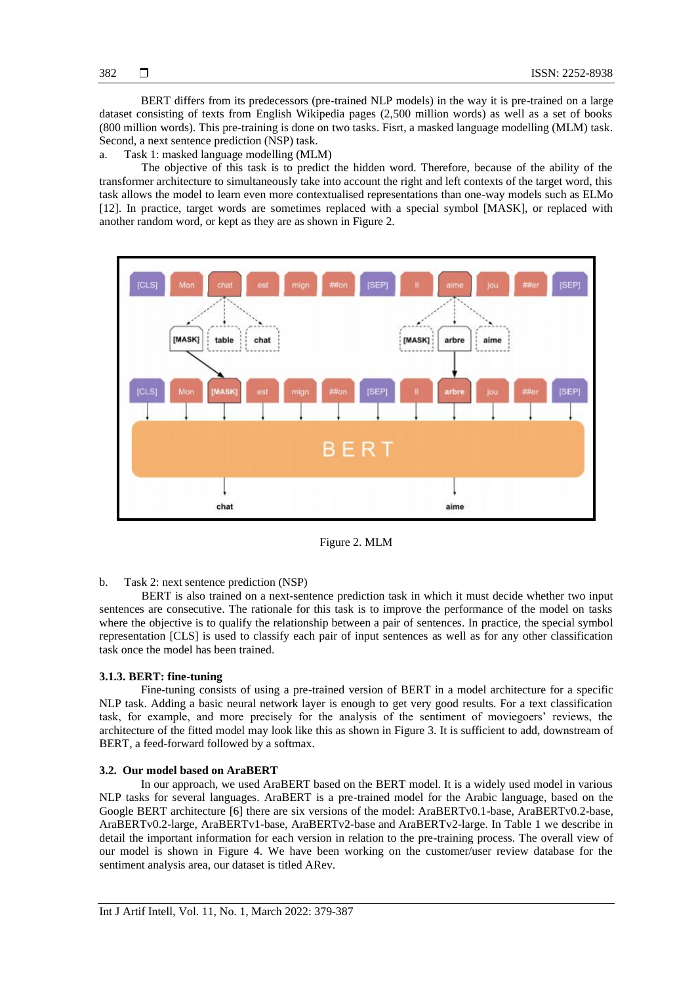BERT differs from its predecessors (pre-trained NLP models) in the way it is pre-trained on a large dataset consisting of texts from English Wikipedia pages (2,500 million words) as well as a set of books (800 million words). This pre-training is done on two tasks. Fisrt, a masked language modelling (MLM) task. Second, a next sentence prediction (NSP) task.

a. Task 1: masked language modelling (MLM)

The objective of this task is to predict the hidden word. Therefore, because of the ability of the transformer architecture to simultaneously take into account the right and left contexts of the target word, this task allows the model to learn even more contextualised representations than one-way models such as ELMo [12]. In practice, target words are sometimes replaced with a special symbol [MASK], or replaced with another random word, or kept as they are as shown in Figure 2.



Figure 2. MLM

### b. Task 2: next sentence prediction (NSP)

BERT is also trained on a next-sentence prediction task in which it must decide whether two input sentences are consecutive. The rationale for this task is to improve the performance of the model on tasks where the objective is to qualify the relationship between a pair of sentences. In practice, the special symbol representation [CLS] is used to classify each pair of input sentences as well as for any other classification task once the model has been trained.

# **3.1.3. BERT: fine-tuning**

Fine-tuning consists of using a pre-trained version of BERT in a model architecture for a specific NLP task. Adding a basic neural network layer is enough to get very good results. For a text classification task, for example, and more precisely for the analysis of the sentiment of moviegoers' reviews, the architecture of the fitted model may look like this as shown in Figure 3. It is sufficient to add, downstream of BERT, a feed-forward followed by a softmax.

### **3.2. Our model based on AraBERT**

In our approach, we used AraBERT based on the BERT model. It is a widely used model in various NLP tasks for several languages. AraBERT is a pre-trained model for the Arabic language, based on the Google BERT architecture [6] there are six versions of the model: AraBERTv0.1-base, AraBERTv0.2-base, AraBERTv0.2-large, AraBERTv1-base, AraBERTv2-base and AraBERTv2-large. In Table 1 we describe in detail the important information for each version in relation to the pre-training process. The overall view of our model is shown in Figure 4. We have been working on the customer/user review database for the sentiment analysis area, our dataset is titled ARev.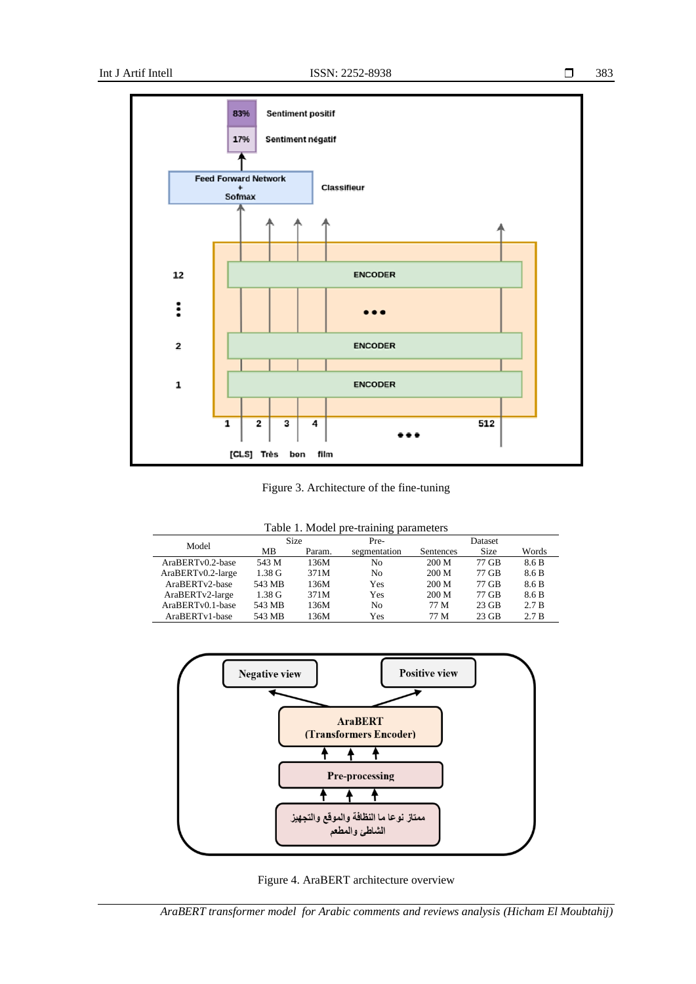

Figure 3. Architecture of the fine-tuning

| Table 1. Model pre-training parameters |  |  |  |  |
|----------------------------------------|--|--|--|--|
|----------------------------------------|--|--|--|--|

|       |                   |                  | __     |              |           |         |       |
|-------|-------------------|------------------|--------|--------------|-----------|---------|-------|
| Model |                   |                  | Size   | Pre-         |           | Dataset |       |
|       |                   | MВ               | Param. | segmentation | Sentences | Size    | Words |
|       | AraBERTv0.2-base  | 543 M            | 136M   | No           | 200 M     | 77 GB   | 8.6 B |
|       | AraBERTv0.2-large | $1.38 \text{ G}$ | 371M   | No           | 200 M     | 77 GB   | 8.6 B |
|       | AraBERTv2-base    | 543 MB           | 136M   | <b>Yes</b>   | 200 M     | 77 GB   | 8.6 B |
|       | AraBERTv2-large   | $1.38 \text{ G}$ | 371M   | Yes          | 200 M     | 77 GB   | 8.6 B |
|       | AraBERTy0.1-base  | 543 MB           | 136M   | No           | 77 M      | $23$ GB | 2.7B  |
|       | AraBERTv1-base    | 543 MB           | 136M   | Yes          | 77 M      | $23$ GB | 2.7B  |
|       |                   |                  |        |              |           |         |       |



Figure 4. AraBERT architecture overview

*AraBERT transformer model for Arabic comments and reviews analysis (Hicham El Moubtahij)*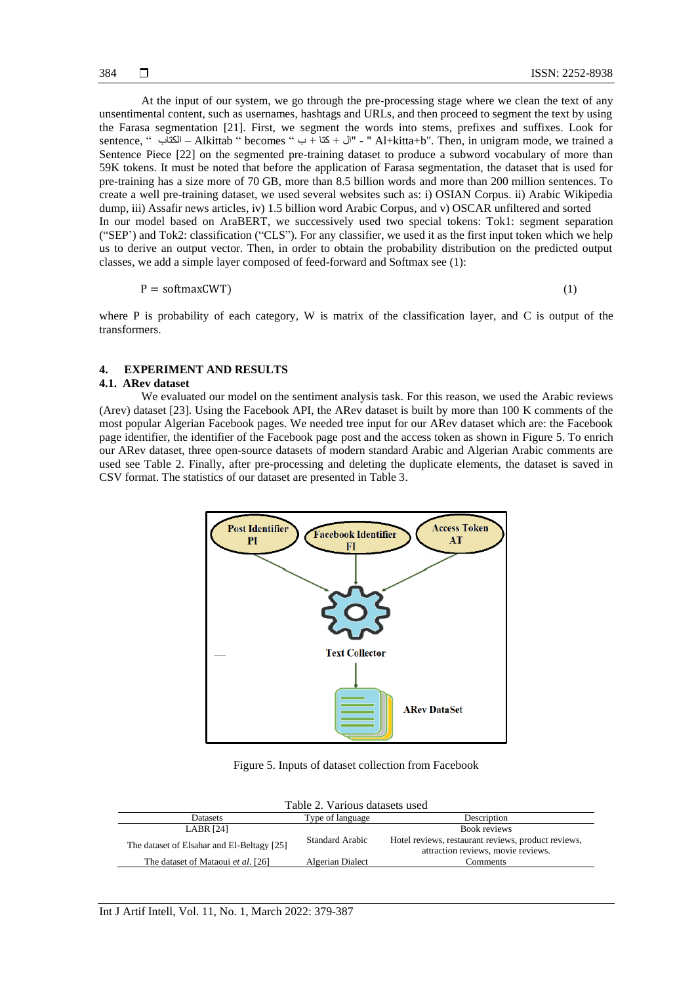At the input of our system, we go through the pre-processing stage where we clean the text of any unsentimental content, such as usernames, hashtags and URLs, and then proceed to segment the text by using the Farasa segmentation [21]. First, we segment the words into stems, prefixes and suffixes. Look for sentence, " الكتاب – Alkittab " becomes " ب + كتا + ال "- " Al+kitta+b". Then, in unigram mode, we trained a Sentence Piece [22] on the segmented pre-training dataset to produce a subword vocabulary of more than 59K tokens. It must be noted that before the application of Farasa segmentation, the dataset that is used for pre-training has a size more of 70 GB, more than 8.5 billion words and more than 200 million sentences. To create a well pre-training dataset, we used several websites such as: i) OSIAN Corpus. ii) Arabic Wikipedia dump, iii) Assafir news articles, iv) 1.5 billion word Arabic Corpus, and v) OSCAR unfiltered and sorted In our model based on AraBERT, we successively used two special tokens: Tok1: segment separation ("SEP') and Tok2: classification ("CLS"). For any classifier, we used it as the first input token which we help us to derive an output vector. Then, in order to obtain the probability distribution on the predicted output classes, we add a simple layer composed of feed-forward and Softmax see (1):

$$
P = softmaxCWT)
$$
 (1)

where P is probability of each category, W is matrix of the classification layer, and C is output of the transformers.

#### **4. EXPERIMENT AND RESULTS**

#### **4.1. ARev dataset**

We evaluated our model on the sentiment analysis task. For this reason, we used the Arabic reviews (Arev) dataset [23]. Using the Facebook API, the ARev dataset is built by more than 100 K comments of the most popular Algerian Facebook pages. We needed tree input for our ARev dataset which are: the Facebook page identifier, the identifier of the Facebook page post and the access token as shown in Figure 5. To enrich our ARev dataset, three open-source datasets of modern standard Arabic and Algerian Arabic comments are used see Table 2. Finally, after pre-processing and deleting the duplicate elements, the dataset is saved in CSV format. The statistics of our dataset are presented in Table 3.



Figure 5. Inputs of dataset collection from Facebook

| Table 2. Various datasets used             |                  |                                                                                           |  |  |
|--------------------------------------------|------------------|-------------------------------------------------------------------------------------------|--|--|
| Datasets                                   | Type of language | Description                                                                               |  |  |
| <b>LABR [24]</b>                           |                  | Book reviews                                                                              |  |  |
| The dataset of Elsahar and El-Beltagy [25] | Standard Arabic  | Hotel reviews, restaurant reviews, product reviews,<br>attraction reviews, movie reviews. |  |  |
| The dataset of Mataoui et al. [26]         | Algerian Dialect | Comments                                                                                  |  |  |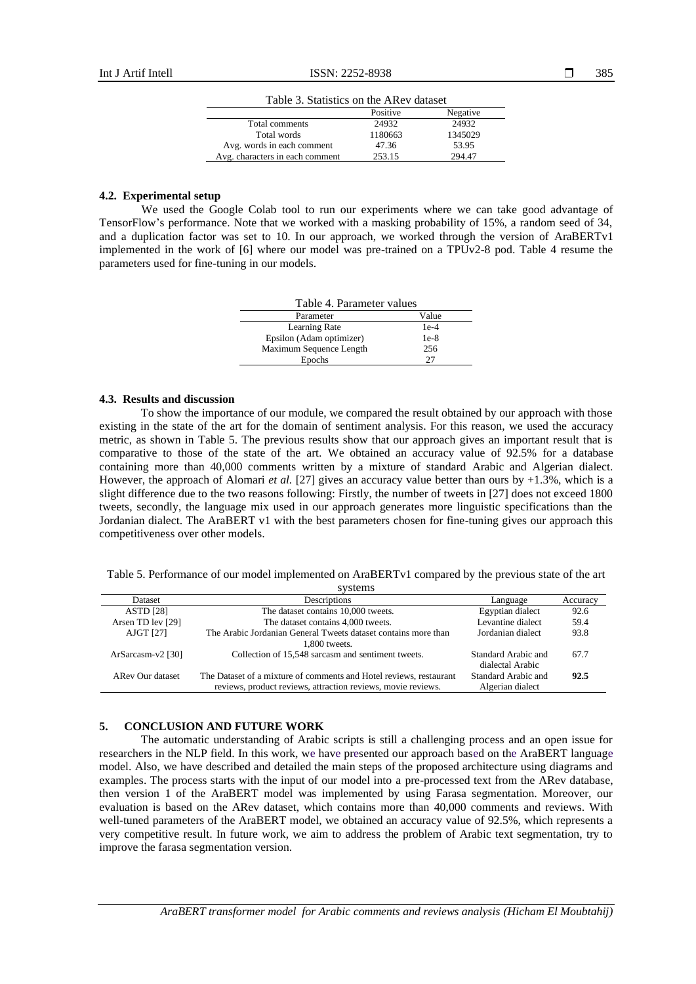| Table 3. Statistics on the ARev dataset |          |          |  |
|-----------------------------------------|----------|----------|--|
|                                         | Positive | Negative |  |
| Total comments                          | 24932    | 24932    |  |
| Total words                             | 1180663  | 1345029  |  |
| Avg. words in each comment              | 47.36    | 53.95    |  |
| Avg. characters in each comment         | 253.15   | 294.47   |  |

#### **4.2. Experimental setup**

We used the Google Colab tool to run our experiments where we can take good advantage of TensorFlow's performance. Note that we worked with a masking probability of 15%, a random seed of 34, and a duplication factor was set to 10. In our approach, we worked through the version of AraBERTv1 implemented in the work of [6] where our model was pre-trained on a TPUv2-8 pod. Table 4 resume the parameters used for fine-tuning in our models.

| Table 4. Parameter values |        |  |
|---------------------------|--------|--|
| Parameter                 | Value  |  |
| Learning Rate             | $1e-4$ |  |
| Epsilon (Adam optimizer)  | $1e-8$ |  |
| Maximum Sequence Length   | 256    |  |
| Epochs                    | 27     |  |

#### **4.3. Results and discussion**

To show the importance of our module, we compared the result obtained by our approach with those existing in the state of the art for the domain of sentiment analysis. For this reason, we used the accuracy metric, as shown in Table 5. The previous results show that our approach gives an important result that is comparative to those of the state of the art. We obtained an accuracy value of 92.5% for a database containing more than 40,000 comments written by a mixture of standard Arabic and Algerian dialect. However, the approach of Alomari *et al.* [27] gives an accuracy value better than ours by +1.3%, which is a slight difference due to the two reasons following: Firstly, the number of tweets in [27] does not exceed 1800 tweets, secondly, the language mix used in our approach generates more linguistic specifications than the Jordanian dialect. The AraBERT v1 with the best parameters chosen for fine-tuning gives our approach this competitiveness over other models.

Table 5. Performance of our model implemented on AraBERTv1 compared by the previous state of the art

| systems           |                                                                    |                     |          |  |  |
|-------------------|--------------------------------------------------------------------|---------------------|----------|--|--|
| Dataset           | Descriptions                                                       | Language            | Accuracy |  |  |
| <b>ASTD</b> [28]  | The dataset contains 10,000 tweets.                                | Egyptian dialect    | 92.6     |  |  |
| Arsen TD lev [29] | The dataset contains 4,000 tweets.                                 | Levantine dialect   | 59.4     |  |  |
| AJGT [27]         | The Arabic Jordanian General Tweets dataset contains more than     | Jordanian dialect   | 93.8     |  |  |
|                   | 1.800 tweets.                                                      |                     |          |  |  |
| ArSarcasm-v2 [30] | Collection of 15,548 sarcasm and sentiment tweets.                 | Standard Arabic and | 67.7     |  |  |
|                   |                                                                    | dialectal Arabic    |          |  |  |
| ARev Our dataset  | The Dataset of a mixture of comments and Hotel reviews, restaurant | Standard Arabic and | 92.5     |  |  |
|                   | reviews, product reviews, attraction reviews, movie reviews.       | Algerian dialect    |          |  |  |

# **5. CONCLUSION AND FUTURE WORK**

The automatic understanding of Arabic scripts is still a challenging process and an open issue for researchers in the NLP field. In this work, we have presented our approach based on the AraBERT language model. Also, we have described and detailed the main steps of the proposed architecture using diagrams and examples. The process starts with the input of our model into a pre-processed text from the ARev database, then version 1 of the AraBERT model was implemented by using Farasa segmentation. Moreover, our evaluation is based on the ARev dataset, which contains more than 40,000 comments and reviews. With well-tuned parameters of the AraBERT model, we obtained an accuracy value of 92.5%, which represents a very competitive result. In future work, we aim to address the problem of Arabic text segmentation, try to improve the farasa segmentation version.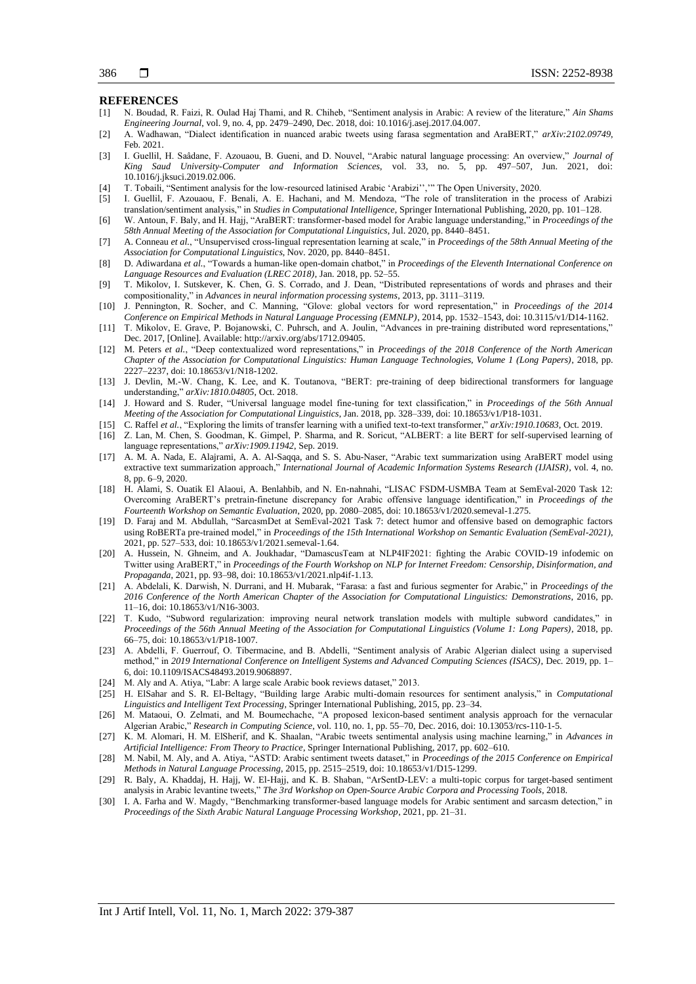#### **REFERENCES**

- [1] N. Boudad, R. Faizi, R. Oulad Haj Thami, and R. Chiheb, "Sentiment analysis in Arabic: A review of the literature," *Ain Shams Engineering Journal*, vol. 9, no. 4, pp. 2479–2490, Dec. 2018, doi: 10.1016/j.asej.2017.04.007.
- [2] A. Wadhawan, "Dialect identification in nuanced arabic tweets using farasa segmentation and AraBERT," *arXiv:2102.09749*, Feb. 2021.
- [3] I. Guellil, H. Saâdane, F. Azouaou, B. Gueni, and D. Nouvel, "Arabic natural language processing: An overview," *Journal of King Saud University-Computer and Information Sciences*, vol. 33, no. 5, pp. 497–507, Jun. 2021, doi: 10.1016/j.jksuci.2019.02.006.
- [4] T. Tobaili, "Sentiment analysis for the low-resourced latinised Arabic 'Arabizi'','" The Open University, 2020.
- [5] I. Guellil, F. Azouaou, F. Benali, A. E. Hachani, and M. Mendoza, "The role of transliteration in the process of Arabizi translation/sentiment analysis," in *Studies in Computational Intelligence*, Springer International Publishing, 2020, pp. 101–128.
- [6] W. Antoun, F. Baly, and H. Hajj, "AraBERT: transformer-based model for Arabic language understanding," in *Proceedings of the 58th Annual Meeting of the Association for Computational Linguistics*, Jul. 2020, pp. 8440–8451.
- [7] A. Conneau *et al.*, "Unsupervised cross-lingual representation learning at scale," in *Proceedings of the 58th Annual Meeting of the Association for Computational Linguistics*, Nov. 2020, pp. 8440–8451.
- [8] D. Adiwardana *et al.*, "Towards a human-like open-domain chatbot," in *Proceedings of the Eleventh International Conference on Language Resources and Evaluation (LREC 2018)*, Jan. 2018, pp. 52–55.
- [9] T. Mikolov, I. Sutskever, K. Chen, G. S. Corrado, and J. Dean, "Distributed representations of words and phrases and their compositionality," in *Advances in neural information processing systems*, 2013, pp. 3111–3119.
- [10] J. Pennington, R. Socher, and C. Manning, "Glove: global vectors for word representation," in *Proceedings of the 2014 Conference on Empirical Methods in Natural Language Processing (EMNLP)*, 2014, pp. 1532–1543, doi: 10.3115/v1/D14-1162.
- [11] T. Mikolov, E. Grave, P. Bojanowski, C. Puhrsch, and A. Joulin, "Advances in pre-training distributed word representations," Dec. 2017, [Online]. Available: http://arxiv.org/abs/1712.09405.
- [12] M. Peters *et al.*, "Deep contextualized word representations," in *Proceedings of the 2018 Conference of the North American Chapter of the Association for Computational Linguistics: Human Language Technologies, Volume 1 (Long Papers)*, 2018, pp. 2227–2237, doi: 10.18653/v1/N18-1202.
- [13] J. Devlin, M.-W. Chang, K. Lee, and K. Toutanova, "BERT: pre-training of deep bidirectional transformers for language understanding," *arXiv:1810.04805*, Oct. 2018.
- [14] J. Howard and S. Ruder, "Universal language model fine-tuning for text classification," in *Proceedings of the 56th Annual Meeting of the Association for Computational Linguistics*, Jan. 2018, pp. 328–339, doi: 10.18653/v1/P18-1031.
- [15] C. Raffel *et al.*, "Exploring the limits of transfer learning with a unified text-to-text transformer," *arXiv:1910.10683*, Oct. 2019.
- [16] Z. Lan, M. Chen, S. Goodman, K. Gimpel, P. Sharma, and R. Soricut, "ALBERT: a lite BERT for self-supervised learning of language representations," *arXiv:1909.11942*, Sep. 2019.
- [17] A. M. A. Nada, E. Alajrami, A. A. Al-Saqqa, and S. S. Abu-Naser, "Arabic text summarization using AraBERT model using extractive text summarization approach," *International Journal of Academic Information Systems Research (IJAISR)*, vol. 4, no. 8, pp. 6–9, 2020.
- [18] H. Alami, S. Ouatik El Alaoui, A. Benlahbib, and N. En-nahnahi, "LISAC FSDM-USMBA Team at SemEval-2020 Task 12: Overcoming AraBERT's pretrain-finetune discrepancy for Arabic offensive language identification," in *Proceedings of the Fourteenth Workshop on Semantic Evaluation*, 2020, pp. 2080–2085, doi: 10.18653/v1/2020.semeval-1.275.
- [19] D. Faraj and M. Abdullah, "SarcasmDet at SemEval-2021 Task 7: detect humor and offensive based on demographic factors using RoBERTa pre-trained model," in *Proceedings of the 15th International Workshop on Semantic Evaluation (SemEval-2021)*, 2021, pp. 527–533, doi: 10.18653/v1/2021.semeval-1.64.
- [20] A. Hussein, N. Ghneim, and A. Joukhadar, "DamascusTeam at NLP4IF2021: fighting the Arabic COVID-19 infodemic on Twitter using AraBERT," in *Proceedings of the Fourth Workshop on NLP for Internet Freedom: Censorship, Disinformation, and Propaganda*, 2021, pp. 93–98, doi: 10.18653/v1/2021.nlp4if-1.13.
- [21] A. Abdelali, K. Darwish, N. Durrani, and H. Mubarak, "Farasa: a fast and furious segmenter for Arabic," in *Proceedings of the 2016 Conference of the North American Chapter of the Association for Computational Linguistics: Demonstrations*, 2016, pp. 11–16, doi: 10.18653/v1/N16-3003.
- [22] T. Kudo, "Subword regularization: improving neural network translation models with multiple subword candidates," in *Proceedings of the 56th Annual Meeting of the Association for Computational Linguistics (Volume 1: Long Papers)*, 2018, pp. 66–75, doi: 10.18653/v1/P18-1007.
- [23] A. Abdelli, F. Guerrouf, O. Tibermacine, and B. Abdelli, "Sentiment analysis of Arabic Algerian dialect using a supervised method," in *2019 International Conference on Intelligent Systems and Advanced Computing Sciences (ISACS)*, Dec. 2019, pp. 1– 6, doi: 10.1109/ISACS48493.2019.9068897.
- [24] M. Aly and A. Atiya, "Labr: A large scale Arabic book reviews dataset," 2013.
- [25] H. ElSahar and S. R. El-Beltagy, "Building large Arabic multi-domain resources for sentiment analysis," in *Computational Linguistics and Intelligent Text Processing*, Springer International Publishing, 2015, pp. 23–34.
- [26] M. Mataoui, O. Zelmati, and M. Boumechache, "A proposed lexicon-based sentiment analysis approach for the vernacular Algerian Arabic," *Research in Computing Science*, vol. 110, no. 1, pp. 55–70, Dec. 2016, doi: 10.13053/rcs-110-1-5.
- [27] K. M. Alomari, H. M. ElSherif, and K. Shaalan, "Arabic tweets sentimental analysis using machine learning," in *Advances in Artificial Intelligence: From Theory to Practice*, Springer International Publishing, 2017, pp. 602–610.
- [28] M. Nabil, M. Aly, and A. Atiya, "ASTD: Arabic sentiment tweets dataset," in *Proceedings of the 2015 Conference on Empirical Methods in Natural Language Processing*, 2015, pp. 2515–2519, doi: 10.18653/v1/D15-1299.
- [29] R. Baly, A. Khaddaj, H. Hajj, W. El-Hajj, and K. B. Shaban, "ArSentD-LEV: a multi-topic corpus for target-based sentiment analysis in Arabic levantine tweets," *The 3rd Workshop on Open-Source Arabic Corpora and Processing Tools*, 2018.
- [30] I. A. Farha and W. Magdy, "Benchmarking transformer-based language models for Arabic sentiment and sarcasm detection," in *Proceedings of the Sixth Arabic Natural Language Processing Workshop*, 2021, pp. 21–31.